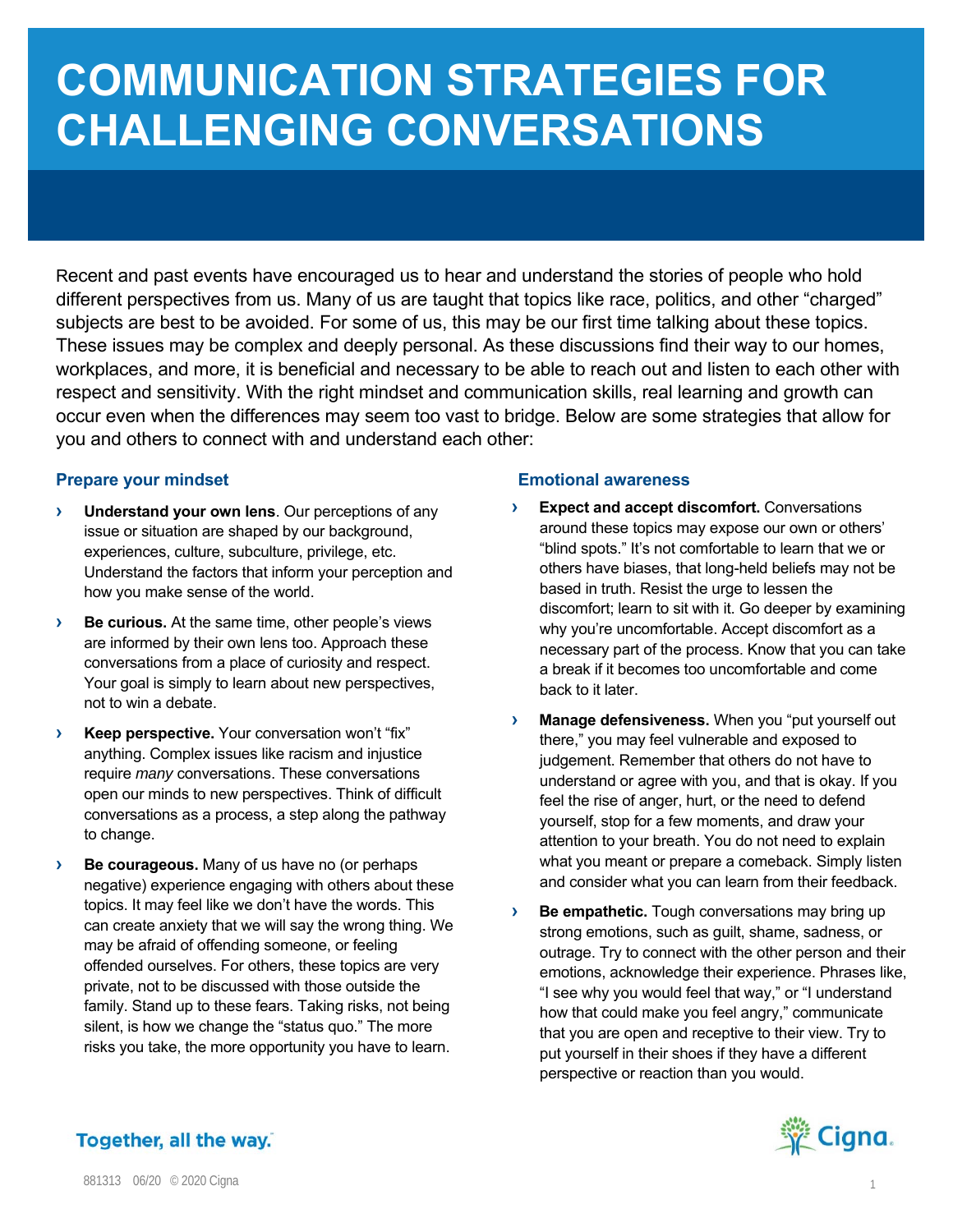# **COMMUNICATION STRATEGIES FOR CHALLENGING CONVERSATIONS**

Recent and past events have encouraged us to hear and understand the stories of people who hold different perspectives from us. Many of us are taught that topics like race, politics, and other "charged" subjects are best to be avoided. For some of us, this may be our first time talking about these topics. These issues may be complex and deeply personal. As these discussions find their way to our homes, workplaces, and more, it is beneficial and necessary to be able to reach out and listen to each other with respect and sensitivity. With the right mindset and communication skills, real learning and growth can occur even when the differences may seem too vast to bridge. Below are some strategies that allow for you and others to connect with and understand each other:

## **Prepare your mindset**

- **› Understand your own lens**. Our perceptions of any issue or situation are shaped by our background, experiences, culture, subculture, privilege, etc. Understand the factors that inform your perception and how you make sense of the world.
- **› Be curious.** At the same time, other people's views are informed by their own lens too. Approach these conversations from a place of curiosity and respect. Your goal is simply to learn about new perspectives, not to win a debate.
- **› Keep perspective.** Your conversation won't "fix" anything. Complex issues like racism and injustice require *many* conversations. These conversations open our minds to new perspectives. Think of difficult conversations as a process, a step along the pathway to change.
- **› Be courageous.** Many of us have no (or perhaps negative) experience engaging with others about these topics. It may feel like we don't have the words. This can create anxiety that we will say the wrong thing. We may be afraid of offending someone, or feeling offended ourselves. For others, these topics are very private, not to be discussed with those outside the family. Stand up to these fears. Taking risks, not being silent, is how we change the "status quo." The more risks you take, the more opportunity you have to learn.

## **Emotional awareness**

- **› Expect and accept discomfort.** Conversations around these topics may expose our own or others' "blind spots." It's not comfortable to learn that we or others have biases, that long-held beliefs may not be based in truth. Resist the urge to lessen the discomfort; learn to sit with it. Go deeper by examining why you're uncomfortable. Accept discomfort as a necessary part of the process. Know that you can take a break if it becomes too uncomfortable and come back to it later.
- **› Manage defensiveness.** When you "put yourself out there," you may feel vulnerable and exposed to judgement. Remember that others do not have to understand or agree with you, and that is okay. If you feel the rise of anger, hurt, or the need to defend yourself, stop for a few moments, and draw your attention to your breath. You do not need to explain what you meant or prepare a comeback. Simply listen and consider what you can learn from their feedback.
- **› Be empathetic.** Tough conversations may bring up strong emotions, such as guilt, shame, sadness, or outrage. Try to connect with the other person and their emotions, acknowledge their experience. Phrases like, "I see why you would feel that way," or "I understand how that could make you feel angry," communicate that you are open and receptive to their view. Try to put yourself in their shoes if they have a different perspective or reaction than you would.



## Together, all the way.